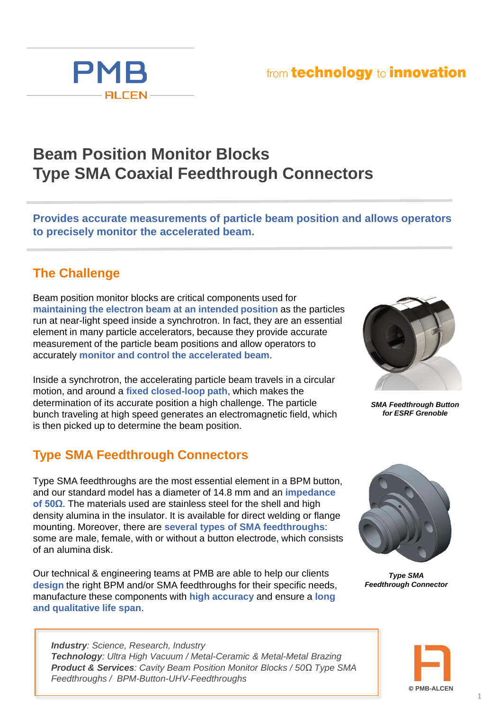## from technology to innovation



# **Beam Position Monitor Blocks Type SMA Coaxial Feedthrough Connectors**

**Provides accurate measurements of particle beam position and allows operators to precisely monitor the accelerated beam.**

#### **The Challenge**

Beam position monitor blocks are critical components used for **maintaining the electron beam at an intended position** as the particles run at near-light speed inside a synchrotron. In fact, they are an essential element in many particle accelerators, because they provide accurate measurement of the particle beam positions and allow operators to accurately **monitor and control the accelerated beam**.

Inside a synchrotron, the accelerating particle beam travels in a circular motion, and around a **fixed closed-loop path**, which makes the determination of its accurate position a high challenge. The particle bunch traveling at high speed generates an electromagnetic field, which is then picked up to determine the beam position.

### **Type SMA Feedthrough Connectors**

Type SMA feedthroughs are the most essential element in a BPM button, and our standard model has a diameter of 14.8 mm and an **impedance of 50Ω**. The materials used are stainless steel for the shell and high density alumina in the insulator. It is available for direct welding or flange mounting. Moreover, there are **several types of SMA feedthroughs**: some are male, female, with or without a button electrode, which consists of an alumina disk.

Our technical & engineering teams at PMB are able to help our clients **design** the right BPM and/or SMA feedthroughs for their specific needs, manufacture these components with **high accuracy** and ensure a **long and qualitative life span**.

*Industry: Science, Research, Industry Technology: Ultra High Vacuum / Metal-Ceramic & Metal-Metal Brazing Product & Services: Cavity Beam Position Monitor Blocks / 50Ω Type SMA Feedthroughs / BPM-Button-UHV-Feedthroughs*



*SMA Feedthrough Button for ESRF Grenoble*



*Type SMA Feedthrough Connector*